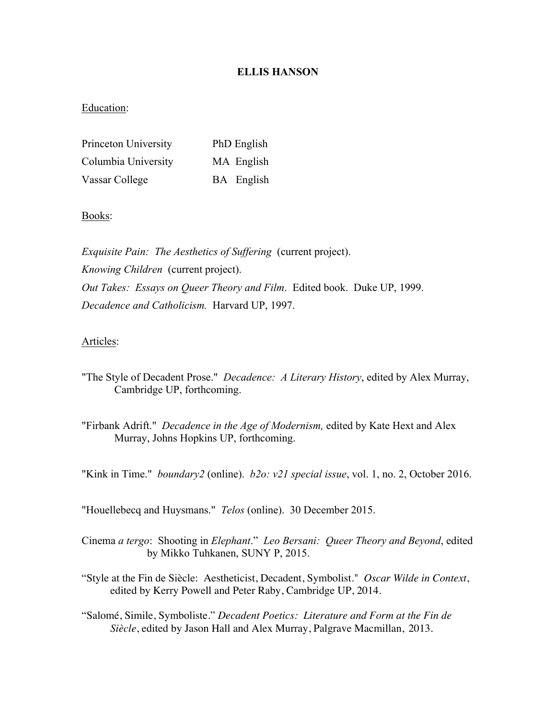## **ELLIS HANSON**

## Education:

| Princeton University | PhD English |
|----------------------|-------------|
| Columbia University  | MA English  |
| Vassar College       | BA English  |

## Books:

*Exquisite Pain: The Aesthetics of Suffering* (current project). *Knowing Children* (current project). *Out Takes: Essays on Queer Theory and Film*. Edited book. Duke UP, 1999. *Decadence and Catholicism.* Harvard UP, 1997.

## Articles:

- "The Style of Decadent Prose." *Decadence: A Literary History*, edited by Alex Murray, Cambridge UP, forthcoming.
- "Firbank Adrift." *Decadence in the Age of Modernism,* edited by Kate Hext and Alex Murray, Johns Hopkins UP, forthcoming.

"Kink in Time." *boundary2* (online). *b2o: v21 special issue*, vol. 1, no. 2, October 2016.

"Houellebecq and Huysmans." *Telos* (online). 30 December 2015.

- Cinema *a tergo*: Shooting in *Elephant*." *Leo Bersani: Queer Theory and Beyond*, edited by Mikko Tuhkanen, SUNY P, 2015.
- "Style at the Fin de Siècle: Aestheticist, Decadent, Symbolist." *Oscar Wilde in Context*, edited by Kerry Powell and Peter Raby, Cambridge UP, 2014.
- "Salomé, Simile, Symboliste." *Decadent Poetics: Literature and Form at the Fin de Siècle*, edited by Jason Hall and Alex Murray, Palgrave Macmillan, 2013.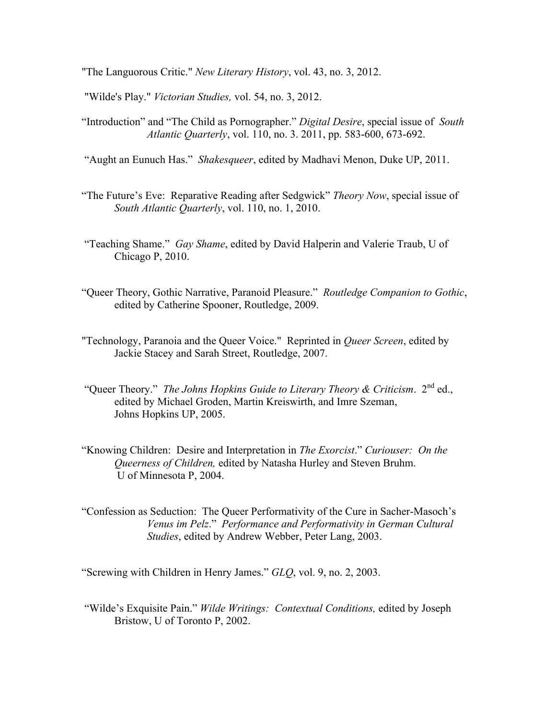"The Languorous Critic." *New Literary History*, vol. 43, no. 3, 2012.

"Wilde's Play." *Victorian Studies,* vol. 54, no. 3, 2012.

"Introduction" and "The Child as Pornographer." *Digital Desire*, special issue of *South Atlantic Quarterly*, vol. 110, no. 3. 2011, pp. 583-600, 673-692.

"Aught an Eunuch Has." *Shakesqueer*, edited by Madhavi Menon, Duke UP, 2011.

- "The Future's Eve: Reparative Reading after Sedgwick" *Theory Now*, special issue of *South Atlantic Quarterly*, vol. 110, no. 1, 2010.
- "Teaching Shame." *Gay Shame*, edited by David Halperin and Valerie Traub, U of Chicago P, 2010.
- "Queer Theory, Gothic Narrative, Paranoid Pleasure." *Routledge Companion to Gothic*, edited by Catherine Spooner, Routledge, 2009.
- "Technology, Paranoia and the Queer Voice." Reprinted in *Queer Screen*, edited by Jackie Stacey and Sarah Street, Routledge, 2007.
- "Queer Theory." *The Johns Hopkins Guide to Literary Theory & Criticism.* 2<sup>nd</sup> ed., edited by Michael Groden, Martin Kreiswirth, and Imre Szeman, Johns Hopkins UP, 2005.
- "Knowing Children: Desire and Interpretation in *The Exorcist*." *Curiouser: On the Queerness of Children,* edited by Natasha Hurley and Steven Bruhm. U of Minnesota P, 2004.
- "Confession as Seduction: The Queer Performativity of the Cure in Sacher-Masoch's *Venus im Pelz*." *Performance and Performativity in German Cultural Studies*, edited by Andrew Webber, Peter Lang, 2003.

"Screwing with Children in Henry James." *GLQ*, vol. 9, no. 2, 2003.

"Wilde's Exquisite Pain." *Wilde Writings: Contextual Conditions,* edited by Joseph Bristow, U of Toronto P, 2002.